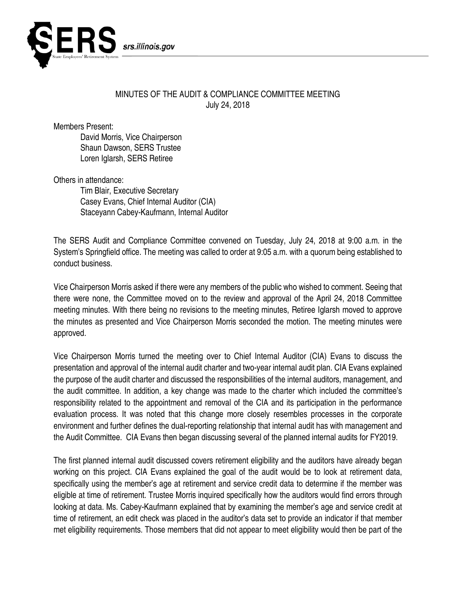

## MINUTES OF THE AUDIT & COMPLIANCE COMMITTEE MEETING July 24, 2018

Members Present:

David Morris, Vice Chairperson Shaun Dawson, SERS Trustee Loren Iglarsh, SERS Retiree

Others in attendance:

Tim Blair, Executive Secretary Casey Evans, Chief Internal Auditor (CIA) Staceyann Cabey-Kaufmann, Internal Auditor

The SERS Audit and Compliance Committee convened on Tuesday, July 24, 2018 at 9:00 a.m. in the System's Springfield office. The meeting was called to order at 9:05 a.m. with a quorum being established to conduct business.

Vice Chairperson Morris asked if there were any members of the public who wished to comment. Seeing that there were none, the Committee moved on to the review and approval of the April 24, 2018 Committee meeting minutes. With there being no revisions to the meeting minutes, Retiree Iglarsh moved to approve the minutes as presented and Vice Chairperson Morris seconded the motion. The meeting minutes were approved.

Vice Chairperson Morris turned the meeting over to Chief Internal Auditor (CIA) Evans to discuss the presentation and approval of the internal audit charter and two-year internal audit plan. CIA Evans explained the purpose of the audit charter and discussed the responsibilities of the internal auditors, management, and the audit committee. In addition, a key change was made to the charter which included the committee's responsibility related to the appointment and removal of the CIA and its participation in the performance evaluation process. It was noted that this change more closely resembles processes in the corporate environment and further defines the dual-reporting relationship that internal audit has with management and the Audit Committee. CIA Evans then began discussing several of the planned internal audits for FY2019.

The first planned internal audit discussed covers retirement eligibility and the auditors have already began working on this project. CIA Evans explained the goal of the audit would be to look at retirement data, specifically using the member's age at retirement and service credit data to determine if the member was eligible at time of retirement. Trustee Morris inquired specifically how the auditors would find errors through looking at data. Ms. Cabey-Kaufmann explained that by examining the member's age and service credit at time of retirement, an edit check was placed in the auditor's data set to provide an indicator if that member met eligibility requirements. Those members that did not appear to meet eligibility would then be part of the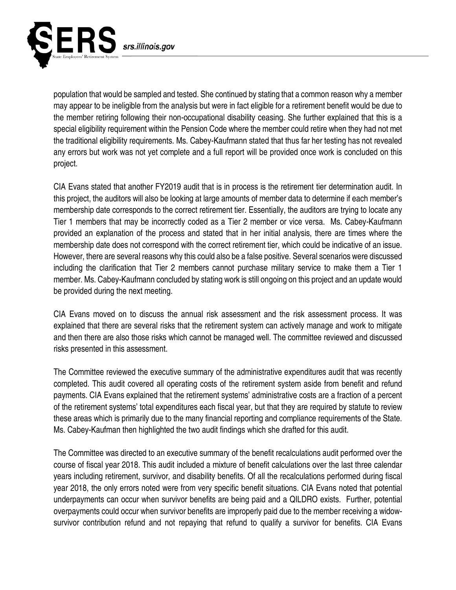

population that would be sampled and tested. She continued by stating that a common reason why a member may appear to be ineligible from the analysis but were in fact eligible for a retirement benefit would be due to the member retiring following their non-occupational disability ceasing. She further explained that this is a special eligibility requirement within the Pension Code where the member could retire when they had not met the traditional eligibility requirements. Ms. Cabey-Kaufmann stated that thus far her testing has not revealed any errors but work was not yet complete and a full report will be provided once work is concluded on this project.

CIA Evans stated that another FY2019 audit that is in process is the retirement tier determination audit. In this project, the auditors will also be looking at large amounts of member data to determine if each member's membership date corresponds to the correct retirement tier. Essentially, the auditors are trying to locate any Tier 1 members that may be incorrectly coded as a Tier 2 member or vice versa. Ms. Cabey-Kaufmann provided an explanation of the process and stated that in her initial analysis, there are times where the membership date does not correspond with the correct retirement tier, which could be indicative of an issue. However, there are several reasons why this could also be a false positive. Several scenarios were discussed including the clarification that Tier 2 members cannot purchase military service to make them a Tier 1 member. Ms. Cabey-Kaufmann concluded by stating work is still ongoing on this project and an update would be provided during the next meeting.

CIA Evans moved on to discuss the annual risk assessment and the risk assessment process. It was explained that there are several risks that the retirement system can actively manage and work to mitigate and then there are also those risks which cannot be managed well. The committee reviewed and discussed risks presented in this assessment.

The Committee reviewed the executive summary of the administrative expenditures audit that was recently completed. This audit covered all operating costs of the retirement system aside from benefit and refund payments. CIA Evans explained that the retirement systems' administrative costs are a fraction of a percent of the retirement systems' total expenditures each fiscal year, but that they are required by statute to review these areas which is primarily due to the many financial reporting and compliance requirements of the State. Ms. Cabey-Kaufman then highlighted the two audit findings which she drafted for this audit.

The Committee was directed to an executive summary of the benefit recalculations audit performed over the course of fiscal year 2018. This audit included a mixture of benefit calculations over the last three calendar years including retirement, survivor, and disability benefits. Of all the recalculations performed during fiscal year 2018, the only errors noted were from very specific benefit situations. CIA Evans noted that potential underpayments can occur when survivor benefits are being paid and a QILDRO exists. Further, potential overpayments could occur when survivor benefits are improperly paid due to the member receiving a widowsurvivor contribution refund and not repaying that refund to qualify a survivor for benefits. CIA Evans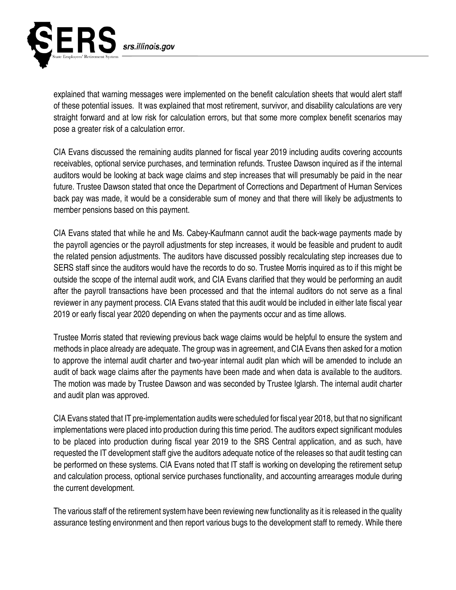

explained that warning messages were implemented on the benefit calculation sheets that would alert staff of these potential issues. It was explained that most retirement, survivor, and disability calculations are very straight forward and at low risk for calculation errors, but that some more complex benefit scenarios may pose a greater risk of a calculation error.

CIA Evans discussed the remaining audits planned for fiscal year 2019 including audits covering accounts receivables, optional service purchases, and termination refunds. Trustee Dawson inquired as if the internal auditors would be looking at back wage claims and step increases that will presumably be paid in the near future. Trustee Dawson stated that once the Department of Corrections and Department of Human Services back pay was made, it would be a considerable sum of money and that there will likely be adjustments to member pensions based on this payment.

CIA Evans stated that while he and Ms. Cabey-Kaufmann cannot audit the back-wage payments made by the payroll agencies or the payroll adjustments for step increases, it would be feasible and prudent to audit the related pension adjustments. The auditors have discussed possibly recalculating step increases due to SERS staff since the auditors would have the records to do so. Trustee Morris inquired as to if this might be outside the scope of the internal audit work, and CIA Evans clarified that they would be performing an audit after the payroll transactions have been processed and that the internal auditors do not serve as a final reviewer in any payment process. CIA Evans stated that this audit would be included in either late fiscal year 2019 or early fiscal year 2020 depending on when the payments occur and as time allows.

Trustee Morris stated that reviewing previous back wage claims would be helpful to ensure the system and methods in place already are adequate. The group was in agreement, and CIA Evans then asked for a motion to approve the internal audit charter and two-year internal audit plan which will be amended to include an audit of back wage claims after the payments have been made and when data is available to the auditors. The motion was made by Trustee Dawson and was seconded by Trustee Iglarsh. The internal audit charter and audit plan was approved.

CIA Evans stated that IT pre-implementation audits were scheduled for fiscal year 2018, but that no significant implementations were placed into production during this time period. The auditors expect significant modules to be placed into production during fiscal year 2019 to the SRS Central application, and as such, have requested the IT development staff give the auditors adequate notice of the releases so that audit testing can be performed on these systems. CIA Evans noted that IT staff is working on developing the retirement setup and calculation process, optional service purchases functionality, and accounting arrearages module during the current development.

The various staff of the retirement system have been reviewing new functionality as it is released in the quality assurance testing environment and then report various bugs to the development staff to remedy. While there